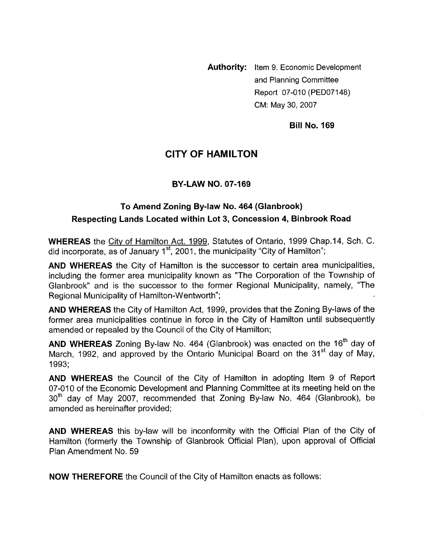**Authority:** Item 9. Economic Development and Planning Committee Report 07-010 (PED07148) CM: May 30,2007

**Bill No. 169** 

# **CITY OF HAMILTON**

#### **BY-LAW NO. 07-169**

# **To Amend Zoning By-law No. 464 (Glanbrook) Respecting Lands Located within Lot 3, Concession 4, Binbrook Road**

**WHEREAS** the Citv of Hamilton Act. 1999, Statutes of Ontario, 1999 Chap.14, Sch. C. did incorporate, as of January 1<sup>st</sup>, 2001, the municipality "City of Hamilton";

**AND WHEREAS** the City of Hamilton is the successor to certain area municipalities, including the former area municipality known as "The Corporation of the Township of Glanbrook" and is the successor to the former Regional Municipality, namely, "The Regional Municipality of Hamilton-Wentworth";

**AND WHEREAS** the City of Hamilton Act, 1999, provides that the Zoning By-laws of the former area municipalities continue in force in the City of Hamilton until subsequently amended or repealed by the Council of the City of Hamilton;

AND WHEREAS Zoning By-law No. 464 (Glanbrook) was enacted on the 16<sup>th</sup> day of March, 1992, and approved by the Ontario Municipal Board on the 31 $^{\rm st}$  day of May, 1993;

**AND WHEREAS** the Council of the City of Hamilton in adopting Item 9 of Report 07-010 of the Economic Development and Planning Committee at its meeting held on the  $30<sup>th</sup>$  day of May 2007, recommended that Zoning By-law No. 464 (Glanbrook), be amended as hereinafter provided;

**AND WHEREAS** this by-law will be inconformity with the Official Plan of the City of Hamilton (formerly the Township of Glanbrook Official Plan), upon approval of Official Plan Amendment No. 59

**NOW THEREFORE** the Council of the City of Hamilton enacts as follows: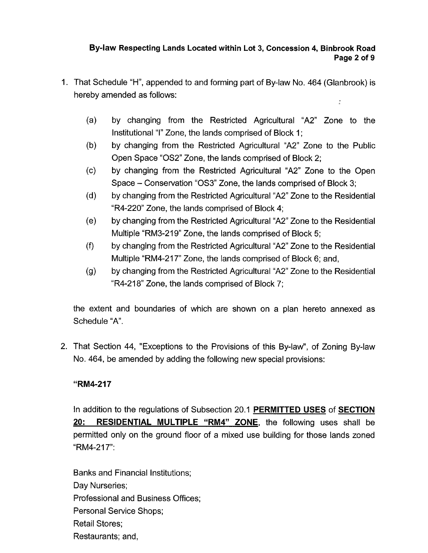# **By-law Respecting Lands Located within Lot 3, Concession 4, Binbrook Road Page 2 of 9**

- 1. That Schedule "H", appended to and forming part of By-law No. 464 (Glanbrook) is hereby amended as follows:  $\frac{\pi}{2}$ 
	- $(a)$ by changing from the Restricted Agricultural "A2" Zone to the Institutional "I" Zone, the lands comprised of Block 1;
	- $(b)$ by changing from the Restricted Agricultural "A2" Zone to the Public Open Space "OS2" Zone, the lands comprised of Block 2;
	- $(c)$ by changing from the Restricted Agricultural "A2" Zone to the Open Space - Conservation "OS3" Zone, the lands comprised of Block 3;
	- $(d)$ by changing from the Restricted Agricultural "A2" Zone to the Residential "R4-220" Zone, the lands comprised of Block 4;
	- $(e)$ by changing from the Restricted Agricultural "A2" Zone to the Residential Multiple "RM3-219" Zone, the lands comprised of Block 5;
	- $(f)$ by changing from the Restricted Agricultural "A2" Zone to the Residential Multiple "RM4-217" Zone, the lands comprised of Block 6; and,
	- by changing from the Restricted Agricultural "A2" Zone to the Residential  $(g)$ "R4-218" Zone, the lands comprised of Block 7;

the extent and boundaries of which are shown on a plan hereto annexed as Schedule "A".

2. That Section 44, "Exceptions to the Provisions of this By-law", of Zoning By-law No. 464, be amended by adding the following new special provisions:

# **"RM4-217**

In addition to the regulations of Subsection 20.1 **PERMITTED USES** of **SECTION 20: RESIDENTIAL MULTIPLE "RM4" ZONE,** the following uses shall be permitted only on the ground floor of a mixed use building for those lands zoned "RM4-217":

Banks and Financial Institutions; Day Nurseries; Professional and Business Offices; Personal Service Shops; Retail Stores; Restaurants; and,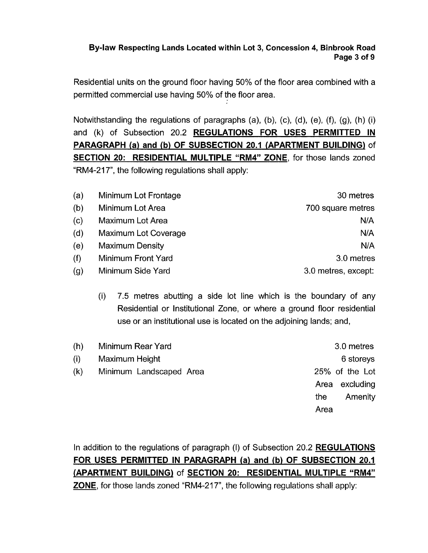## **By-law Respecting Lands Located within Lot 3, Concession 4, Binbrook Road Page 3 of 9**

Residential units on the ground floor having 50% of the floor area combined with a permitted commercial use having 50% of the floor area.

Notwithstanding the regulations of paragraphs (a), (b), (c), (d), (e), (f), (g), (h) (i) and (k) of Subsection 20.2 **REGULATIONS FOR USES PERMITTED IN PARAGRAPH (a) and (b) OF SUBSECTION 20.1 (APARTMENT BUILDING)** of **SECTION 20: RESIDENTIAL MULTIPLE "RM4" ZONE,** for those lands zoned "RM4-217", the following regulations shall apply:

| (a) | Minimum Lot Frontage   | 30 metres           |
|-----|------------------------|---------------------|
| (b) | Minimum Lot Area       | 700 square metres   |
| (c) | Maximum Lot Area       | N/A                 |
| (d) | Maximum Lot Coverage   | N/A                 |
| (e) | <b>Maximum Density</b> | N/A                 |
| (f) | Minimum Front Yard     | 3.0 metres          |
| (g) | Minimum Side Yard      | 3.0 metres, except: |

(i) 7.5 metres abutting a side lot line which is the boundary of any Residential or Institutional Zone, or where a ground floor residential use or an institutional use is located on the adjoining lands; and,

| (h) | Minimum Rear Yard       | 3.0 metres     |
|-----|-------------------------|----------------|
| (i) | Maximum Height          | 6 storeys      |
| (k) | Minimum Landscaped Area | 25% of the Lot |
|     |                         | Area excluding |
|     |                         | Amenity<br>the |
|     |                         | Area           |
|     |                         |                |

In addition to the regulations of paragraph (I) of Subsection 20.2 **REGULATIONS FOR USES PERMITTED IN PARAGRAPH (a) and (b) OF SUBSECTION 20.1 {APARTMENT BUILDING)** of **SECTION 20: RESIDENTIAL MULTIPLE "RM4" ZONE,** for those lands zoned "RM4-217", the following regulations shall apply: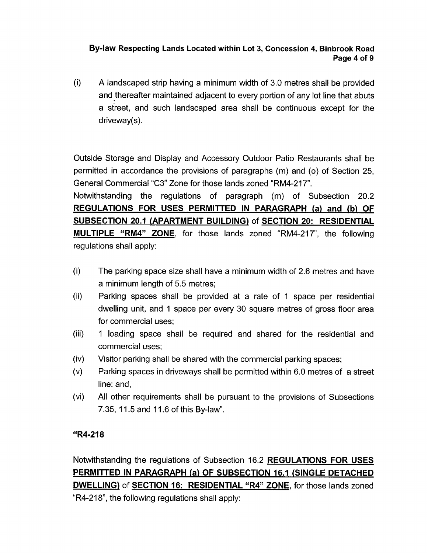### **By-law Respecting Lands Located within Lot 3, Concession 4, Binbrook Road Page 4 of 9**

(i) A landscaped strip having a minimum width of 3.0 metres shall be provided and thereafter maintained adjacent to every portion of any lot line that abuts a street, and such landscaped area shall be continuous except for the driveway(s).

Outside Storage and Display and Accessory Outdoor Patio Restaurants shall be permitted in accordance the provisions of paragraphs (m) and *(0)* of Section 25, General Commercial *"C3"* Zone for those lands zoned "RM4-217".

Notwithstanding the regulations of paragraph (m) of Subsection 20.2 **REGULATIONS FOR USES PERMITTED IN PARAGRAPH (a) and (b) OF SUBSECTION 20.1 (APARTMENT BUILDING)** of **SECTION 20: RESIDENTIAL MULTIPLE "RM4" ZONE,** for those lands zoned "RM4-217", the following regulations shall apply:

- $(i)$ The parking space size shall have a minimum width of 2.6 metres and have a minimum length of 5.5 metres;
- Parking spaces shall be provided at a rate of 1 space per residential  $(ii)$ dwelling unit, and 1 space per every 30 square metres of gross floor area for commercial uses;
- $(iii)$ 1 loading space shall be required and shared for the residential and commercial uses;
- $(iv)$ Visitor parking shall be shared with the commercial parking spaces;
- $(v)$ Parking spaces in driveways shall be permitted within 6.0 metres of a street line: and,
- $(v<sub>i</sub>)$ All other requirements shall be pursuant to the provisions of Subsections 7.35, 11.5 and 11.6 of this By-law".

# **"R4-218**

Notwithstanding the regulations of Subsection 16.2 **REGULATIONS FOR USES PERMITTED IN PARAGRAPH (a) OF SUBSECTION 16.1 (SINGLE DETACHED DWELLING)** of **SECTION 16: RESIDENTIAL "R4" ZONE,** for those lands zoned "R4-218", the following regulations shall apply: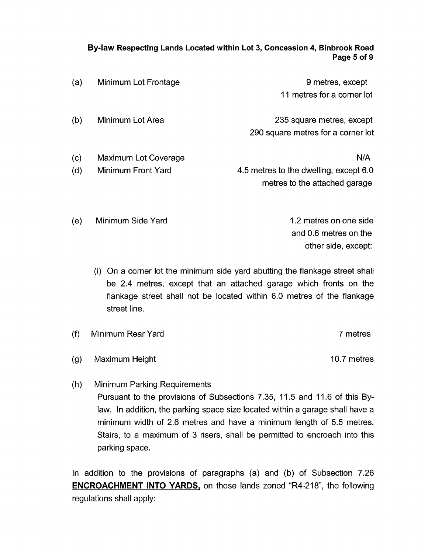#### **By-law Respecting Lands Located within Lot 3, Concession 4, Binbrook Road Page 5 of 9**

| (a)        | Minimum Lot Frontage                       | 9 metres, except<br>11 metres for a corner lot                                 |
|------------|--------------------------------------------|--------------------------------------------------------------------------------|
| (b)        | Minimum Lot Area                           | 235 square metres, except<br>290 square metres for a corner lot                |
| (c)<br>(d) | Maximum Lot Coverage<br>Minimum Front Yard | N/A<br>4.5 metres to the dwelling, except 6.0<br>metres to the attached garage |

1.2 metres on one side and 0.6 metres on the other side, except:

- (i) On a corner lot the minimum side yard abutting the flankage street shall be 2.4 metres, except that an attached garage which fronts on the flankage street shall not be located within 6.0 metres of the flankage street line.
- $(f)$ Minimum Rear Yard 7 metres
- Maximum Height 10.7 metres  $(g)$

(e) Minimum Side Yard

 $(h)$ Minimum Parking Requirements Pursuant to the provisions of Subsections 7.35, 11.5 and 11.6 of this Bylaw. In addition, the parking space size located within a garage shall have a minimum width of 2.6 metres and have a minimum length of 5.5 metres. Stairs, to a maximum of 3 risers, shall be permitted to encroach into this parking space.

In addition to the provisions of paragraphs (a) and (b) of Subsection 7.26 **ENCROACHMENT INTO YARDS,** on those lands zoned "R4-218", the following regulations shall apply: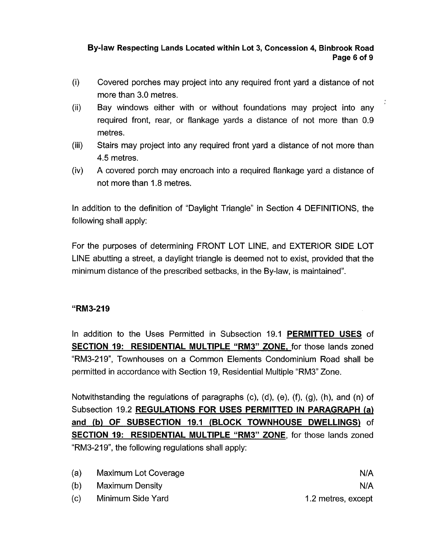# **By-law Respecting Lands Located within Lot 3, Concession 4, Binbrook Road Page 6 of 9**

- (i) Covered porches may project into any required front yard a distance of not more than 3.0 metres.
- (ii) Bay windows either with or without foundations may project into any required front, rear, or flankage yards a distance of not more than 0.9 metres.
- Stairs may project into any required front yard a distance of not more than **4.5** metres. (iii)
- A covered porch may encroach into a required flankage yard a distance of not more than 1.8 metres. (iv)

In addition to the definition of "Daylight Triangle" in Section **4** DEFINITIONS, the following shall apply:

For the purposes of determining FRONT LOT LINE, and EXTERIOR SIDE LOT LINE abutting a street, a daylight triangle is deemed not to exist, provided that the minimum distance of the prescribed setbacks, in the By-law, is maintained".

#### **"RM3-219**

In addition to the Uses Permitted in Subsection 19.1 **PERMITTED USES** of **SECTION 19: RESIDENTIAL MULTIPLE "RM3" ZONE,** for those lands zoned "RM3-219", Townhouses on a Common Elements Condominium Road shall be permitted in accordance with Section 19, Residential Multiple "RM3" Zone.

Notwithstanding the regulations of paragraphs (c), (d), (e), (f), (g), (h), and (n) of Subsection 19.2 **REGULATIONS FOR USES PERMITTED IN PARAGRAPH (a) and (b) OF SUBSECTION 19.1 (BLOCK TOWNHOUSE DWELLINGS)** of **SECTION 19: RESIDENTIAL MULTIPLE "RM3" ZONE,** for those lands zoned "RM3-219", the following regulations shall apply:

- (a) Maximum Lot Coverage
- (b) Maximum Density

N/A N/A 1.2 metres, except

(c) Minimum Side Yard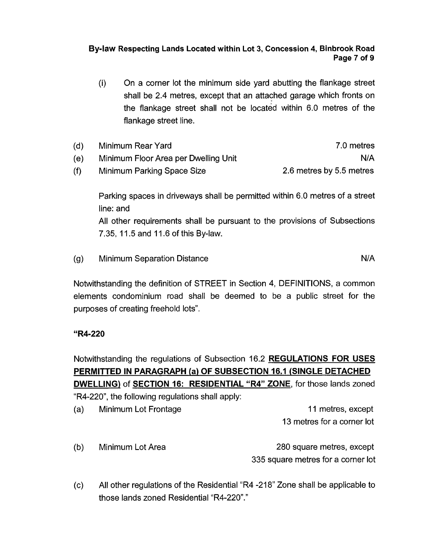## **Bylaw Respecting Lands Located within Lot 3, Concession 4, Binbrook Road Page 7 of 9**

(i) On a corner lot the minimum side yard abutting the flankage street shall be 2.4 metres, except that an attached garage which fronts on the flankage street shall not be located within 6.0 metres of the flankage street line.

| (d) | Minimum Rear Yard                    | 7.0 metres               |
|-----|--------------------------------------|--------------------------|
| (e) | Minimum Floor Area per Dwelling Unit | N/A                      |
| (f) | Minimum Parking Space Size           | 2.6 metres by 5.5 metres |

Parking spaces in driveways shall be permitted within 6.0 metres of a street line: and All other requirements shall be pursuant to the provisions of Subsections 7.35, 11.5 and 11.6 of this By-law.

 $(g)$ Minimum Separation Distance N/A

Notwithstanding the definition of STREET in Section 4, DEFINITIONS, a common elements condominium road shall be deemed to be a public street for the purposes of creating freehold lots".

#### **"R4-220**

Notwithstanding the regulations of Subsection 16.2 **REGULATIONS FOR USES PERMITTED IN PARAGRAPH (a) OF SUBSECTION 16.1 (SINGLE DETACHED DWELLING)** of **SECTION 16: RESIDENTIAL "R4" ZONE,** for those lands zoned "R4-220", the following regulations shall apply:

(a) Minimum Lot Frontage 11 metres, except 13 metres for a corner lot (b) Minimum Lot Area 280 square metres, except

335 square metres for a corner lot

(c) All other regulations of the Residential "R4 -21 8" Zone shall be applicable to those lands zoned Residential "R4-220"."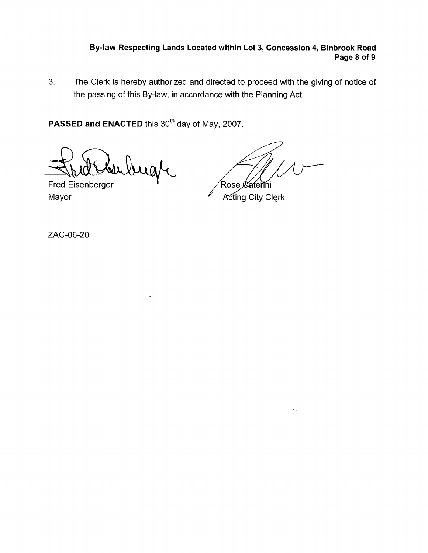### **Bylaw Respecting Lands Located within Lot 3, Concession 4, Binbrook Road Page 8 of 9**

**3.** The Clerk is hereby authorized and directed to proceed with the giving of notice of the passing of this By-law, in accordance with the Planning Act.

PASSED and ENACTED this 30<sup>th</sup> day of May, 2007.

 $\lambda$  a

Fred Eisenberger

Rose ¢ ferini

Mayor Mayor Acting City Clerk

ZAC-06-20

 $\frac{\pi}{2}$